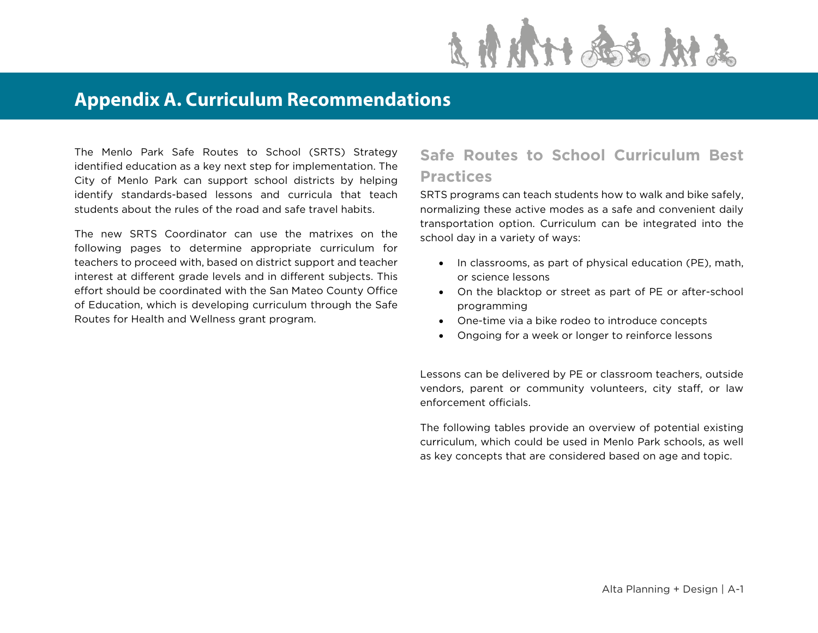

## **Appendix A. Curriculum Recommendations**

The Menlo Park Safe Routes to School (SRTS) Strategy identified education as a key next step for implementation. The City of Menlo Park can support school districts by helping identify standards-based lessons and curricula that teach students about the rules of the road and safe travel habits.

The new SRTS Coordinator can use the matrixes on the following pages to determine appropriate curriculum for teachers to proceed with, based on district support and teacher interest at different grade levels and in different subjects. This effort should be coordinated with the San Mateo County Office of Education, which is developing curriculum through the Safe Routes for Health and Wellness grant program.

## **Safe Routes to School Curriculum Best Practices**

SRTS programs can teach students how to walk and bike safely, normalizing these active modes as a safe and convenient daily transportation option. Curriculum can be integrated into the school day in a variety of ways:

- In classrooms, as part of physical education (PE), math, or science lessons
- On the blacktop or street as part of PE or after-school programming
- One-time via a bike rodeo to introduce concepts
- Ongoing for a week or longer to reinforce lessons

Lessons can be delivered by PE or classroom teachers, outside vendors, parent or community volunteers, city staff, or law enforcement officials.

The following tables provide an overview of potential existing curriculum, which could be used in Menlo Park schools, as well as key concepts that are considered based on age and topic.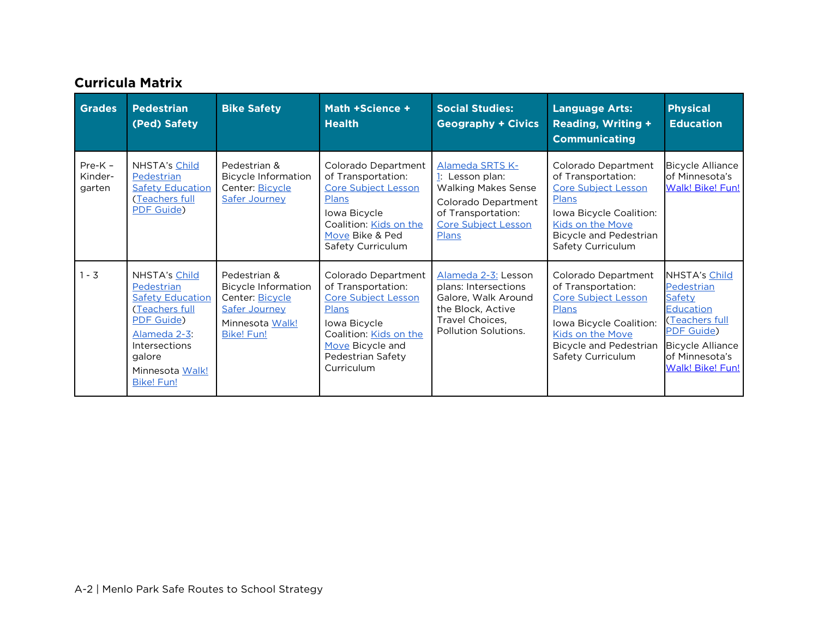## **Curricula Matrix**

| <b>Grades</b>                  | <b>Pedestrian</b><br>(Ped) Safety                                                                                                                                         | <b>Bike Safety</b>                                                                                              | Math +Science +<br><b>Health</b>                                                                                                                                                  | <b>Social Studies:</b><br><b>Geography + Civics</b>                                                                                                  | <b>Language Arts:</b><br><b>Reading, Writing +</b><br><b>Communicating</b>                                                                                                            | <b>Physical</b><br><b>Education</b>                                                                                                                               |
|--------------------------------|---------------------------------------------------------------------------------------------------------------------------------------------------------------------------|-----------------------------------------------------------------------------------------------------------------|-----------------------------------------------------------------------------------------------------------------------------------------------------------------------------------|------------------------------------------------------------------------------------------------------------------------------------------------------|---------------------------------------------------------------------------------------------------------------------------------------------------------------------------------------|-------------------------------------------------------------------------------------------------------------------------------------------------------------------|
| $Pre-K -$<br>Kinder-<br>garten | NHSTA's Child<br>Pedestrian<br><b>Safety Education</b><br>(Teachers full<br>PDF Guide)                                                                                    | Pedestrian &<br><b>Bicycle Information</b><br>Center: Bicycle<br><b>Safer Journey</b>                           | Colorado Department<br>of Transportation:<br><b>Core Subject Lesson</b><br>Plans<br>lowa Bicycle<br>Coalition: Kids on the<br>Move Bike & Ped<br>Safety Curriculum                | Alameda SRTS K-<br>1: Lesson plan:<br><b>Walking Makes Sense</b><br>Colorado Department<br>of Transportation:<br><b>Core Subject Lesson</b><br>Plans | Colorado Department<br>of Transportation:<br>Core Subject Lesson<br><b>Plans</b><br>Iowa Bicycle Coalition:<br>Kids on the Move<br><b>Bicycle and Pedestrian</b><br>Safety Curriculum | <b>Bicycle Alliance</b><br>of Minnesota's<br><b>Walk! Bike! Fun!</b>                                                                                              |
| $1 - 3$                        | NHSTA's Child<br>Pedestrian<br><b>Safety Education</b><br>(Teachers full<br>PDF Guide)<br>Alameda 2-3:<br>Intersections<br>galore<br>Minnesota Walk!<br><b>Bike! Fun!</b> | Pedestrian &<br>Bicycle Information<br>Center: Bicycle<br>Safer Journey<br>Minnesota Walk!<br><b>Bike! Fun!</b> | Colorado Department<br>of Transportation:<br><b>Core Subject Lesson</b><br>Plans<br>lowa Bicycle<br>Coalition: Kids on the<br>Move Bicycle and<br>Pedestrian Safety<br>Curriculum | Alameda 2-3: Lesson<br>plans: Intersections<br>Galore, Walk Around<br>the Block, Active<br>Travel Choices,<br>Pollution Solutions.                   | Colorado Department<br>of Transportation:<br><b>Core Subject Lesson</b><br>Plans<br>Iowa Bicycle Coalition:<br>Kids on the Move<br><b>Bicycle and Pedestrian</b><br>Safety Curriculum | NHSTA's Child<br>Pedestrian<br>Safety<br><b>Education</b><br>(Teachers full<br><b>PDF Guide)</b><br><b>Bicycle Alliance</b><br>of Minnesota's<br>Walk! Bike! Fun! |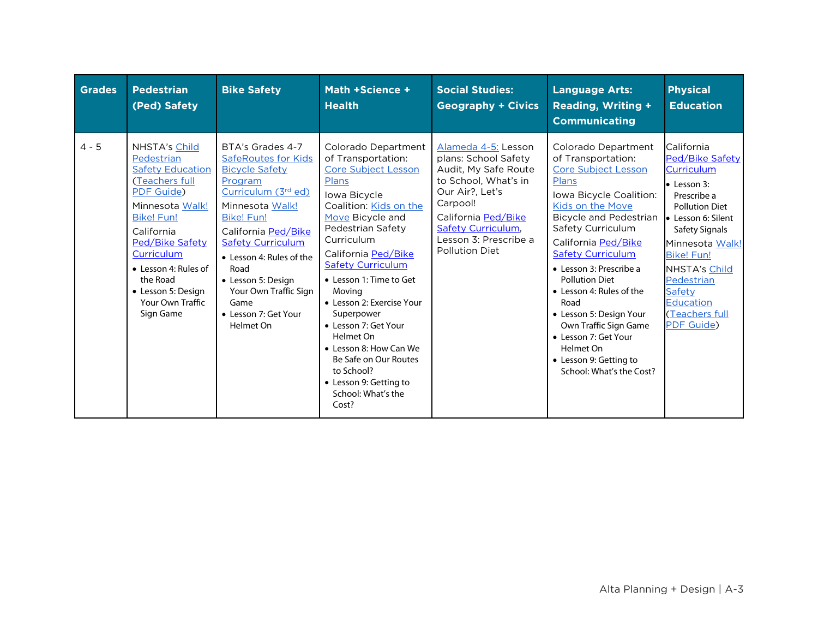| <b>Grades</b> | <b>Pedestrian</b><br>(Ped) Safety                                                                                                                                                                                                                                        | <b>Bike Safety</b>                                                                                                                                                                                                                                                                                                                   | Math +Science +<br><b>Health</b>                                                                                                                                                                                                                                                                                                                                                                                                                                                    | <b>Social Studies:</b><br><b>Geography + Civics</b>                                                                                                                                                                              | <b>Language Arts:</b><br><b>Reading, Writing +</b><br><b>Communicating</b>                                                                                                                                                                                                                                                                                                                                                                                               | <b>Physical</b><br><b>Education</b>                                                                                                                                                                                                                                                     |
|---------------|--------------------------------------------------------------------------------------------------------------------------------------------------------------------------------------------------------------------------------------------------------------------------|--------------------------------------------------------------------------------------------------------------------------------------------------------------------------------------------------------------------------------------------------------------------------------------------------------------------------------------|-------------------------------------------------------------------------------------------------------------------------------------------------------------------------------------------------------------------------------------------------------------------------------------------------------------------------------------------------------------------------------------------------------------------------------------------------------------------------------------|----------------------------------------------------------------------------------------------------------------------------------------------------------------------------------------------------------------------------------|--------------------------------------------------------------------------------------------------------------------------------------------------------------------------------------------------------------------------------------------------------------------------------------------------------------------------------------------------------------------------------------------------------------------------------------------------------------------------|-----------------------------------------------------------------------------------------------------------------------------------------------------------------------------------------------------------------------------------------------------------------------------------------|
| $4 - 5$       | NHSTA's Child<br>Pedestrian<br><b>Safety Education</b><br>(Teachers full<br>PDF Guide)<br>Minnesota Walk!<br><b>Bike! Fun!</b><br>California<br>Ped/Bike Safety<br>Curriculum<br>• Lesson 4: Rules of<br>the Road<br>• Lesson 5: Design<br>Your Own Traffic<br>Sign Game | BTA's Grades 4-7<br><b>SafeRoutes for Kids</b><br><b>Bicycle Safety</b><br>Program<br>Curriculum (3rd ed)<br>Minnesota Walk!<br><b>Bike! Fun!</b><br>California Ped/Bike<br><b>Safety Curriculum</b><br>• Lesson 4: Rules of the<br>Road<br>• Lesson 5: Design<br>Your Own Traffic Sign<br>Game<br>• Lesson 7: Get Your<br>Helmet On | Colorado Department<br>of Transportation:<br>Core Subject Lesson<br><b>Plans</b><br>Iowa Bicycle<br>Coalition: Kids on the<br>Move Bicycle and<br>Pedestrian Safety<br>Curriculum<br>California Ped/Bike<br><b>Safety Curriculum</b><br>• Lesson 1: Time to Get<br>Moving<br>• Lesson 2: Exercise Your<br>Superpower<br>• Lesson 7: Get Your<br>Helmet On<br>• Lesson 8: How Can We<br>Be Safe on Our Routes<br>to School?<br>• Lesson 9: Getting to<br>School: What's the<br>Cost? | Alameda 4-5: Lesson<br>plans: School Safety<br>Audit, My Safe Route<br>to School, What's in<br>Our Air?, Let's<br>Carpool!<br>California Ped/Bike<br><b>Safety Curriculum,</b><br>Lesson 3: Prescribe a<br><b>Pollution Diet</b> | Colorado Department<br>of Transportation:<br><b>Core Subject Lesson</b><br>Plans<br>Iowa Bicycle Coalition:<br>Kids on the Move<br>Bicycle and Pedestrian<br>Safety Curriculum<br>California Ped/Bike<br><b>Safety Curriculum</b><br>• Lesson 3: Prescribe a<br><b>Pollution Diet</b><br>• Lesson 4: Rules of the<br>Road<br>• Lesson 5: Design Your<br>Own Traffic Sign Game<br>• Lesson 7: Get Your<br>Helmet On<br>• Lesson 9: Getting to<br>School: What's the Cost? | California<br>Ped/Bike Safety<br><b>Curriculum</b><br>$\bullet$ Lesson 3:<br>Prescribe a<br><b>Pollution Diet</b><br>• Lesson 6: Silent<br>Safety Signals<br>Minnesota Walk!<br><b>Bike! Fun!</b><br>NHSTA's Child<br>Pedestrian<br>Safety<br>Education<br>(Teachers full<br>PDF Guide) |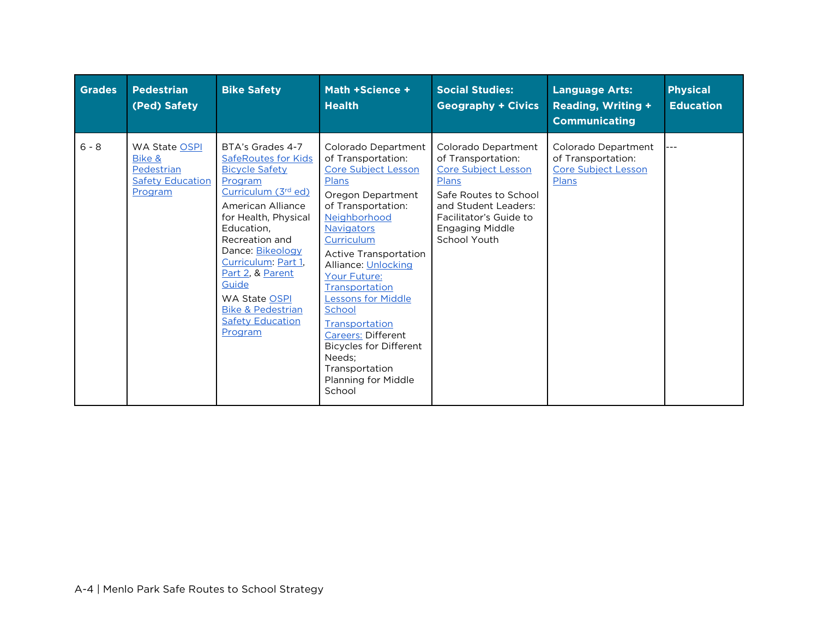| <b>Grades</b> | <b>Pedestrian</b><br>(Ped) Safety                                                  | <b>Bike Safety</b>                                                                                                                                                                                                                                                                                                                                           | Math +Science +<br><b>Health</b>                                                                                                                                                                                                                                                                                                                                                                                                                            | <b>Social Studies:</b><br><b>Geography + Civics</b>                                                                                                                                                   | <b>Language Arts:</b><br><b>Reading, Writing +</b><br><b>Communicating</b>       | <b>Physical</b><br><b>Education</b> |
|---------------|------------------------------------------------------------------------------------|--------------------------------------------------------------------------------------------------------------------------------------------------------------------------------------------------------------------------------------------------------------------------------------------------------------------------------------------------------------|-------------------------------------------------------------------------------------------------------------------------------------------------------------------------------------------------------------------------------------------------------------------------------------------------------------------------------------------------------------------------------------------------------------------------------------------------------------|-------------------------------------------------------------------------------------------------------------------------------------------------------------------------------------------------------|----------------------------------------------------------------------------------|-------------------------------------|
| $6 - 8$       | <b>WA State OSPI</b><br>Bike &<br>Pedestrian<br><b>Safety Education</b><br>Program | BTA's Grades 4-7<br><b>SafeRoutes for Kids</b><br><b>Bicycle Safety</b><br>Program<br>Curriculum (3rd ed)<br>American Alliance<br>for Health, Physical<br>Education.<br>Recreation and<br>Dance: Bikeology<br>Curriculum: Part 1,<br>Part 2, & Parent<br>Guide<br><b>WA State OSPI</b><br><b>Bike &amp; Pedestrian</b><br><b>Safety Education</b><br>Program | Colorado Department<br>of Transportation:<br><b>Core Subject Lesson</b><br>Plans<br>Oregon Department<br>of Transportation:<br>Neighborhood<br><b>Navigators</b><br>Curriculum<br><b>Active Transportation</b><br>Alliance: Unlocking<br>Your Future:<br>Transportation<br><b>Lessons for Middle</b><br>School<br>Transportation<br><b>Careers: Different</b><br><b>Bicycles for Different</b><br>Needs:<br>Transportation<br>Planning for Middle<br>School | Colorado Department<br>of Transportation:<br><b>Core Subject Lesson</b><br>Plans<br>Safe Routes to School<br>and Student Leaders:<br>Facilitator's Guide to<br><b>Engaging Middle</b><br>School Youth | Colorado Department<br>of Transportation:<br><b>Core Subject Lesson</b><br>Plans |                                     |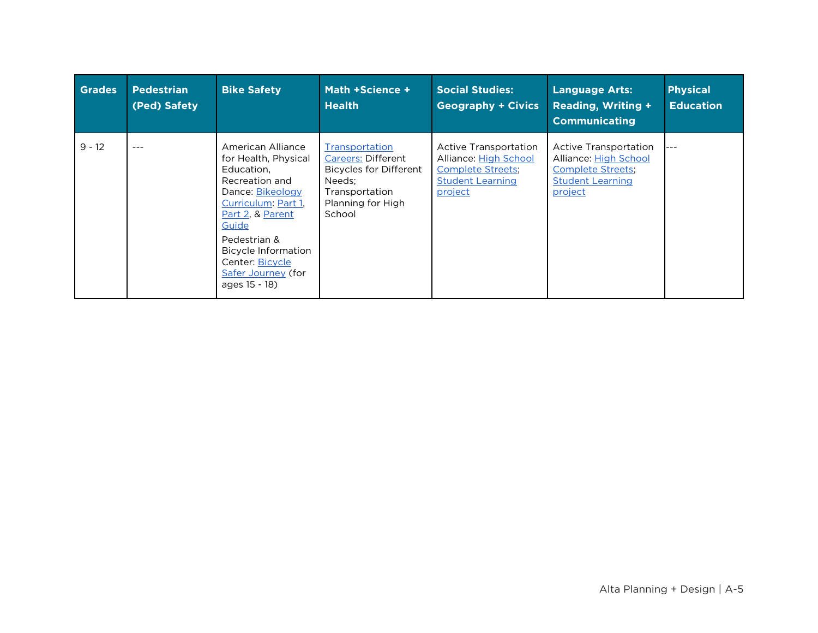| <b>Grades</b> | <b>Pedestrian</b><br>(Ped) Safety | <b>Bike Safety</b>                                                                                                                                                                                                                                 | Math +Science +<br><b>Health</b>                                                                                                        | <b>Social Studies:</b><br><b>Geography + Civics</b>                                                               | <b>Language Arts:</b><br><b>Reading, Writing +</b><br><b>Communicating</b>                                       | <b>Physical</b><br><b>Education</b> |
|---------------|-----------------------------------|----------------------------------------------------------------------------------------------------------------------------------------------------------------------------------------------------------------------------------------------------|-----------------------------------------------------------------------------------------------------------------------------------------|-------------------------------------------------------------------------------------------------------------------|------------------------------------------------------------------------------------------------------------------|-------------------------------------|
| $9 - 12$      | $---$                             | American Alliance<br>for Health, Physical<br>Education,<br>Recreation and<br>Dance: Bikeology<br>Curriculum: Part 1,<br>Part 2, & Parent<br>Guide<br>Pedestrian &<br>Bicycle Information<br>Center: Bicycle<br>Safer Journey (for<br>ages 15 - 18) | Transportation<br><b>Careers: Different</b><br><b>Bicycles for Different</b><br>Needs:<br>Transportation<br>Planning for High<br>School | Active Transportation<br>Alliance: High School<br><b>Complete Streets</b> ;<br><b>Student Learning</b><br>project | Active Transportation<br>Alliance: High School<br><b>Complete Streets;</b><br><b>Student Learning</b><br>project | $---$                               |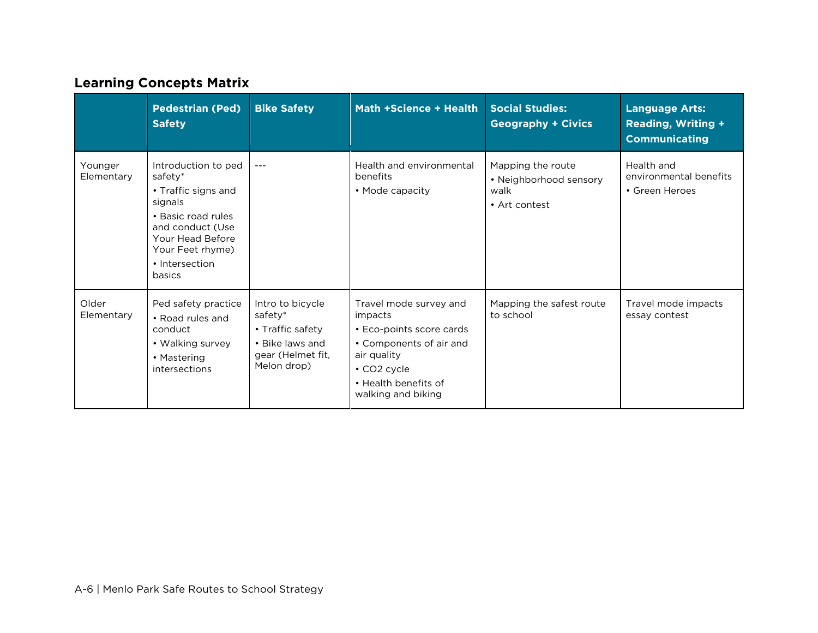## **Learning Concepts Matrix**

|                       | <b>Pedestrian (Ped)</b><br><b>Safety</b>                                                                                                                                       | <b>Bike Safety</b>                                                                                     | Math +Science + Health                                                                                                                                                     | <b>Social Studies:</b><br><b>Geography + Civics</b>                  | <b>Language Arts:</b><br><b>Reading, Writing +</b><br><b>Communicating</b> |
|-----------------------|--------------------------------------------------------------------------------------------------------------------------------------------------------------------------------|--------------------------------------------------------------------------------------------------------|----------------------------------------------------------------------------------------------------------------------------------------------------------------------------|----------------------------------------------------------------------|----------------------------------------------------------------------------|
| Younger<br>Elementary | Introduction to ped<br>safety*<br>• Traffic signs and<br>signals<br>• Basic road rules<br>and conduct (Use<br>Your Head Before<br>Your Feet rhyme)<br>• Intersection<br>basics | $- - -$                                                                                                | Health and environmental<br>benefits<br>• Mode capacity                                                                                                                    | Mapping the route<br>• Neighborhood sensory<br>walk<br>• Art contest | Health and<br>environmental benefits<br>• Green Heroes                     |
| Older<br>Elementary   | Ped safety practice<br>• Road rules and<br>conduct<br>• Walking survey<br>• Mastering<br>intersections                                                                         | Intro to bicycle<br>safety*<br>• Traffic safety<br>• Bike laws and<br>gear (Helmet fit,<br>Melon drop) | Travel mode survey and<br>impacts<br>• Eco-points score cards<br>• Components of air and<br>air quality<br>$\cdot$ CO2 cycle<br>• Health benefits of<br>walking and biking | Mapping the safest route<br>to school                                | Travel mode impacts<br>essay contest                                       |